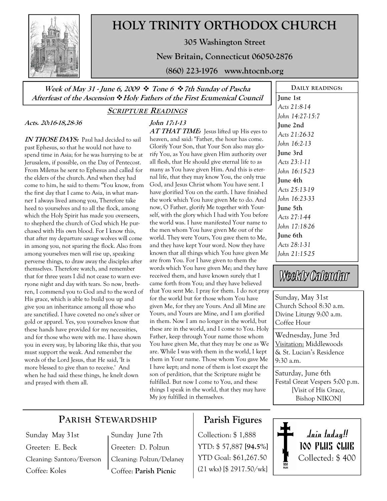

# HOLY TRINITY ORTHODOX CHURCH

305 Washington Street

New Britain, Connecticut 06050-2876

(860) 223-1976 www.htocnb.org

Week of May 31 - June 6, 2009  $\div$  Tone 6  $\div$  7th Sunday of Pascha Afterfeast of the Ascension  $\clubsuit$  Holy Fathers of the First Ecumenical Council

## SCRIPTURE READINGS

John 17:1-13

Acts. 20:16-18,28-36

IN THOSE DAYS: Paul had decided to sail past Ephesus, so that he would not have to spend time in Asia; for he was hurrying to be at Jerusalem, if possible, on the Day of Pentecost. From Miletus he sent to Ephesus and called for the elders of the church. And when they had come to him, he said to them: "You know, from the first day that I came to Asia, in what manner I always lived among you, Therefore take heed to yourselves and to all the flock, among which the Holy Spirit has made you overseers, to shepherd the church of God which He purchased with His own blood. For I know this, that after my departure savage wolves will come in among you, not sparing the flock. Also from among yourselves men will rise up, speaking perverse things, to draw away the disciples after themselves. Therefore watch, and remember that for three years I did not cease to warn everyone night and day with tears. So now, brethren, I commend you to God and to the word of His grace, which is able to build you up and give you an inheritance among all those who are sanctified. I have coveted no one's silver or gold or apparel. Yes, you yourselves know that these hands have provided for my necessities, and for those who were with me. I have shown you in every way, by laboring like this, that you must support the weak. And remember the words of the Lord Jesus, that He said, 'It is more blessed to give than to receive.' And when he had said these things, he knelt down and prayed with them all.

heaven, and said: "Father, the hour has come. Glorify Your Son, that Your Son also may glorify You, as You have given Him authority over all flesh, that He should give eternal life to as many as You have given Him. And this is eternal life, that they may know You, the only true God, and Jesus Christ whom You have sent. I have glorified You on the earth. I have finished the work which You have given Me to do. And now, O Father, glorify Me together with Yourself, with the glory which I had with You before the world was. I have manifested Your name to the men whom You have given Me out of the world. They were Yours, You gave them to Me, and they have kept Your word. Now they have known that all things which You have given Me are from You. For I have given to them the words which You have given Me; and they have received them, and have known surely that I came forth from You; and they have believed that You sent Me. I pray for them. I do not pray for the world but for those whom You have given Me, for they are Yours. And all Mine are Yours, and Yours are Mine, and I am glorified in them. Now I am no longer in the world, but these are in the world, and I come to You. Holy Father, keep through Your name those whom You have given Me, that they may be one as We are. While I was with them in the world, I kept them in Your name. Those whom You gave Me I have kept; and none of them is lost except the son of perdition, that the Scripture might be fulfilled. But now I come to You, and these things I speak in the world, that they may have My joy fulfilled in themselves.

 $ATTHAT TIME:$  Iesus lifted up His eyes to

DAILY READINGS: June 1st Acts 21:8-14 John 14:27-15:7 June 2nd Acts 21:26-32 John 16:2-13 June 3rd Acts 23:1-11 John 16:15-23 June 4th Acts 25:13-19 John 16:23-33 June 5th Acts 27:1-44 John 17:18-26 June 6th Acts 28:1-31 John 21:15-25

# Weekly Calendar

Sunday, May 31st Church School 8:30 a.m. Divine Liturgy 9:00 a.m. Coffee Hour

Wednesday, June 3rd Visitation: Middlewoods & St. Lucian's Residence 9:30 a.m.

Saturday, June 6th Festal Great Vespers 5:00 p.m. [Visit of His Grace, Bishop NIKON]

## PARISH STEWARDSHIP

Sunday May 31st Greeter: E. Beck Cleaning: Santoro/Everson Coffee: Koles

Sunday June 7th Greeter: D. Polzun Cleaning: Polzun/Delaney Coffee: Parish Picnic

# Parish Figures

Collection: \$ 1,888 YTD: \$ 57,887 [94.5%] YTD Goal: \$61,267.50 (21 wks) [\$ 2917.50/wk]